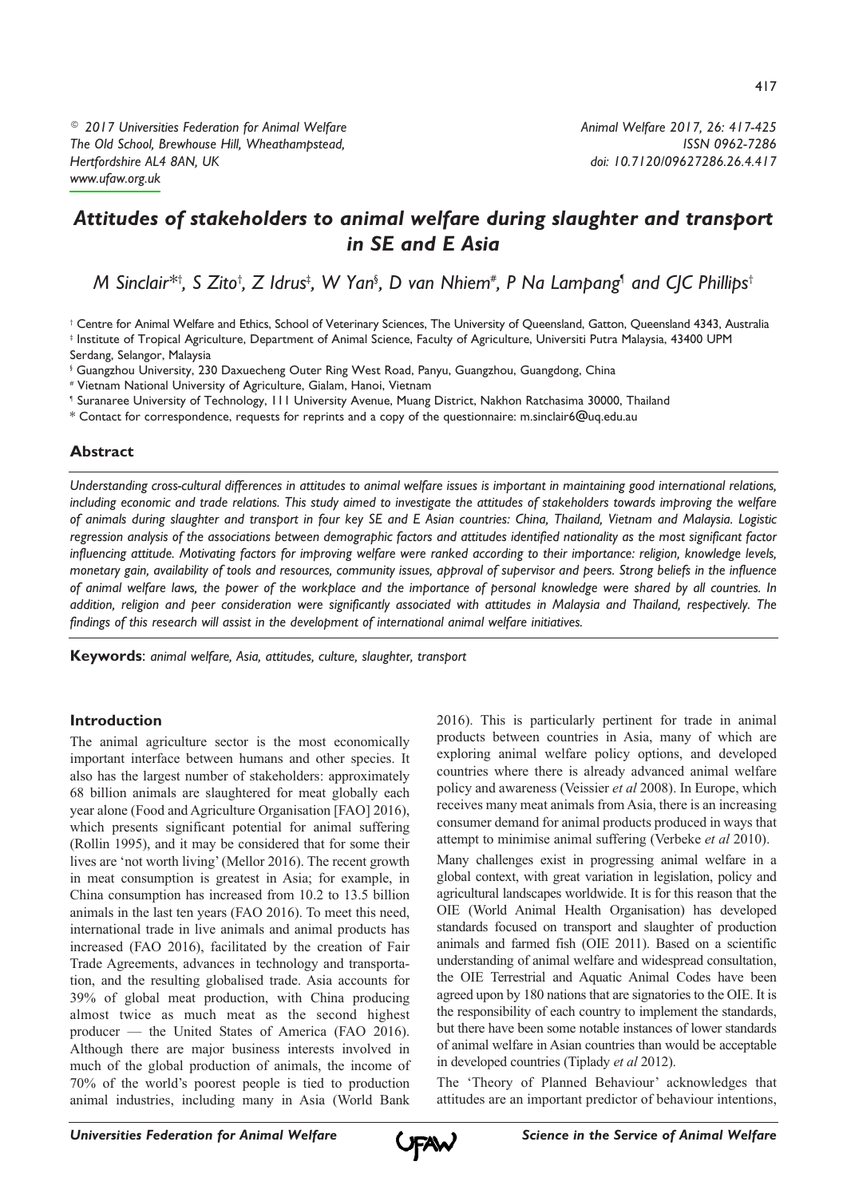*© 2017 Universities Federation for Animal Welfare The Old School, Brewhouse Hill, Wheathampstead, Hertfordshire AL4 8AN, UK [www.ufaw.org.uk](http://www.ufaw.org.uk)*

*Animal Welfare 2017, 26: 417-425 ISSN 0962-7286 doi: 10.7120/09627286.26.4.417*

# *Attitudes of stakeholders to animal welfare during slaughter and transport in SE and E Asia*

M Sinclair\*†, S Zito†, Z Idrus‡, W Yan§, D van Nhiem#, P Na Lampang¶ and CJC Phillips†

† Centre for Animal Welfare and Ethics, School of Veterinary Sciences, The University of Queensland, Gatton, Queensland 4343, Australia ‡ Institute of Tropical Agriculture, Department of Animal Science, Faculty of Agriculture, Universiti Putra Malaysia, 43400 UPM

Serdang, Selangor, Malaysia

§ Guangzhou University, 230 Daxuecheng Outer Ring West Road, Panyu, Guangzhou, Guangdong, China

# Vietnam National University of Agriculture, Gialam, Hanoi, Vietnam

¶ Suranaree University of Technology, 111 University Avenue, Muang District, Nakhon Ratchasima 30000, Thailand

\* Contact for correspondence, requests for reprints and a copy of the questionnaire: m.sinclair6@uq.edu.au

# **Abstract**

Understanding cross-cultural differences in attitudes to animal welfare issues is important in maintaining good international relations, including economic and trade relations. This study aimed to investigate the attitudes of stakeholders towards improving the welfare of animals during slaughter and transport in four key SE and E Asian countries: China, Thailand, Vietnam and Malaysia. Logistic regression analysis of the associations between demographic factors and attitudes identified nationality as the most significant factor influencing attitude. Motivating factors for improving welfare were ranked according to their importance: religion, knowledge levels, monetary gain, availability of tools and resources, community issues, approval of supervisor and peers. Strong beliefs in the influence of animal welfare laws, the power of the workplace and the importance of personal knowledge were shared by all countries. In addition, religion and peer consideration were significantly associated with attitudes in Malaysia and Thailand, respectively. The *findings of this research will assist in the development of international animal welfare initiatives.*

**Keywords**: *animal welfare, Asia, attitudes, culture, slaughter, transport*

# **Introduction**

The animal agriculture sector is the most economically important interface between humans and other species. It also has the largest number of stakeholders: approximately 68 billion animals are slaughtered for meat globally each year alone (Food and Agriculture Organisation [FAO] 2016), which presents significant potential for animal suffering (Rollin 1995), and it may be considered that for some their lives are 'not worth living'(Mellor 2016). The recent growth in meat consumption is greatest in Asia; for example, in China consumption has increased from 10.2 to 13.5 billion animals in the last ten years (FAO 2016). To meet this need, international trade in live animals and animal products has increased (FAO 2016), facilitated by the creation of Fair Trade Agreements, advances in technology and transportation, and the resulting globalised trade. Asia accounts for 39% of global meat production, with China producing almost twice as much meat as the second highest producer — the United States of America (FAO 2016). Although there are major business interests involved in much of the global production of animals, the income of 70% of the world's poorest people is tied to production animal industries, including many in Asia (World Bank

2016). This is particularly pertinent for trade in animal products between countries in Asia, many of which are exploring animal welfare policy options, and developed countries where there is already advanced animal welfare policy and awareness (Veissier *et al* 2008). In Europe, which receives many meat animals fromAsia, there is an increasing consumer demand for animal products produced in ways that attempt to minimise animal suffering (Verbeke *et al* 2010).

Many challenges exist in progressing animal welfare in a global context, with great variation in legislation, policy and agricultural landscapes worldwide. It is for this reason that the OIE (World Animal Health Organisation) has developed standards focused on transport and slaughter of production animals and farmed fish (OIE 2011). Based on a scientific understanding of animal welfare and widespread consultation, the OIE Terrestrial and Aquatic Animal Codes have been agreed upon by 180 nations that are signatories to the OIE. It is the responsibility of each country to implement the standards, but there have been some notable instances of lower standards of animal welfare in Asian countries than would be acceptable in developed countries (Tiplady *et al* 2012).

The 'Theory of Planned Behaviour' acknowledges that attitudes are an important predictor of behaviour intentions,

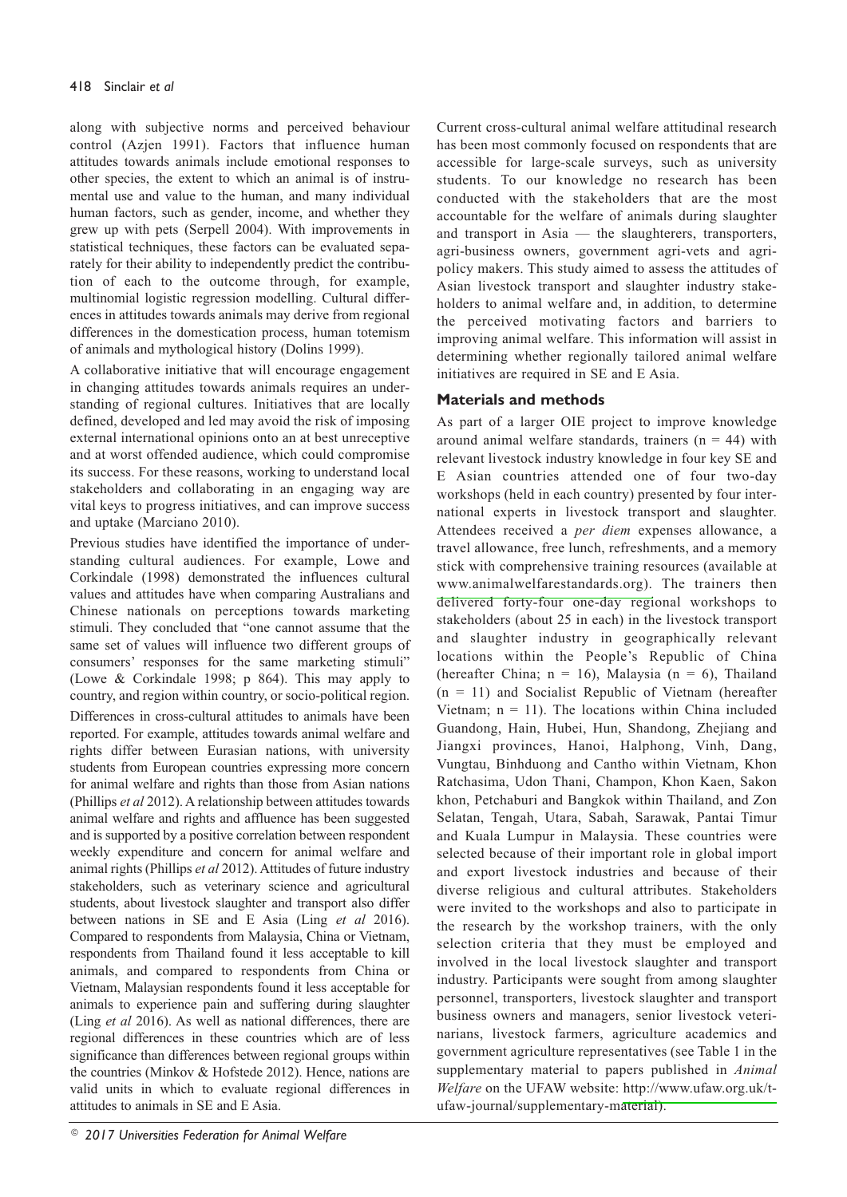along with subjective norms and perceived behaviour control (Azjen 1991). Factors that influence human attitudes towards animals include emotional responses to other species, the extent to which an animal is of instrumental use and value to the human, and many individual human factors, such as gender, income, and whether they grew up with pets (Serpell 2004). With improvements in statistical techniques, these factors can be evaluated separately for their ability to independently predict the contribution of each to the outcome through, for example, multinomial logistic regression modelling. Cultural differences in attitudes towards animals may derive from regional differences in the domestication process, human totemism of animals and mythological history (Dolins 1999).

A collaborative initiative that will encourage engagement in changing attitudes towards animals requires an understanding of regional cultures. Initiatives that are locally defined, developed and led may avoid the risk of imposing external international opinions onto an at best unreceptive and at worst offended audience, which could compromise its success. For these reasons, working to understand local stakeholders and collaborating in an engaging way are vital keys to progress initiatives, and can improve success and uptake (Marciano 2010).

Previous studies have identified the importance of understanding cultural audiences. For example, Lowe and Corkindale (1998) demonstrated the influences cultural values and attitudes have when comparing Australians and Chinese nationals on perceptions towards marketing stimuli. They concluded that "one cannot assume that the same set of values will influence two different groups of consumers' responses for the same marketing stimuli" (Lowe & Corkindale 1998; p 864). This may apply to country, and region within country, or socio-political region. Differences in cross-cultural attitudes to animals have been reported. For example, attitudes towards animal welfare and rights differ between Eurasian nations, with university students from European countries expressing more concern for animal welfare and rights than those from Asian nations (Phillips *et al* 2012). A relationship between attitudes towards animal welfare and rights and affluence has been suggested and is supported by a positive correlation between respondent weekly expenditure and concern for animal welfare and animal rights (Phillips *et al* 2012).Attitudes of future industry stakeholders, such as veterinary science and agricultural students, about livestock slaughter and transport also differ between nations in SE and E Asia (Ling *et al* 2016). Compared to respondents from Malaysia, China or Vietnam, respondents from Thailand found it less acceptable to kill animals, and compared to respondents from China or Vietnam, Malaysian respondents found it less acceptable for animals to experience pain and suffering during slaughter (Ling *et al* 2016). As well as national differences, there are regional differences in these countries which are of less significance than differences between regional groups within the countries (Minkov & Hofstede 2012). Hence, nations are valid units in which to evaluate regional differences in attitudes to animals in SE and E Asia.

Current cross-cultural animal welfare attitudinal research has been most commonly focused on respondents that are accessible for large-scale surveys, such as university students. To our knowledge no research has been conducted with the stakeholders that are the most accountable for the welfare of animals during slaughter and transport in Asia — the slaughterers, transporters, agri-business owners, government agri-vets and agripolicy makers. This study aimed to assess the attitudes of Asian livestock transport and slaughter industry stakeholders to animal welfare and, in addition, to determine the perceived motivating factors and barriers to improving animal welfare. This information will assist in determining whether regionally tailored animal welfare initiatives are required in SE and E Asia.

# **Materials and methods**

As part of a larger OIE project to improve knowledge around animal welfare standards, trainers  $(n = 44)$  with relevant livestock industry knowledge in four key SE and E Asian countries attended one of four two-day workshops (held in each country) presented by four international experts in livestock transport and slaughter. Attendees received a *per diem* expenses allowance, a travel allowance, free lunch, refreshments, and a memory stick with comprehensive training resources (available at [www.animalwelfarestandards.org\).](http://www.animalwelfarestandards.org) The trainers then delivered forty-four one-day regional workshops to stakeholders (about 25 in each) in the livestock transport and slaughter industry in geographically relevant locations within the People's Republic of China (hereafter China;  $n = 16$ ), Malaysia ( $n = 6$ ), Thailand  $(n = 11)$  and Socialist Republic of Vietnam (hereafter Vietnam;  $n = 11$ ). The locations within China included Guandong, Hain, Hubei, Hun, Shandong, Zhejiang and Jiangxi provinces, Hanoi, Halphong, Vinh, Dang, Vungtau, Binhduong and Cantho within Vietnam, Khon Ratchasima, Udon Thani, Champon, Khon Kaen, Sakon khon, Petchaburi and Bangkok within Thailand, and Zon Selatan, Tengah, Utara, Sabah, Sarawak, Pantai Timur and Kuala Lumpur in Malaysia. These countries were selected because of their important role in global import and export livestock industries and because of their diverse religious and cultural attributes. Stakeholders were invited to the workshops and also to participate in the research by the workshop trainers, with the only selection criteria that they must be employed and involved in the local livestock slaughter and transport industry. Participants were sought from among slaughter personnel, transporters, livestock slaughter and transport business owners and managers, senior livestock veterinarians, livestock farmers, agriculture academics and government agriculture representatives (see Table 1 in the supplementary material to papers published in *Animal Welfare* on the UFAW website: [http://www.ufaw.org.uk/t](http://www.ufaw.org.uk/t-)ufaw-journal/supplementary-material).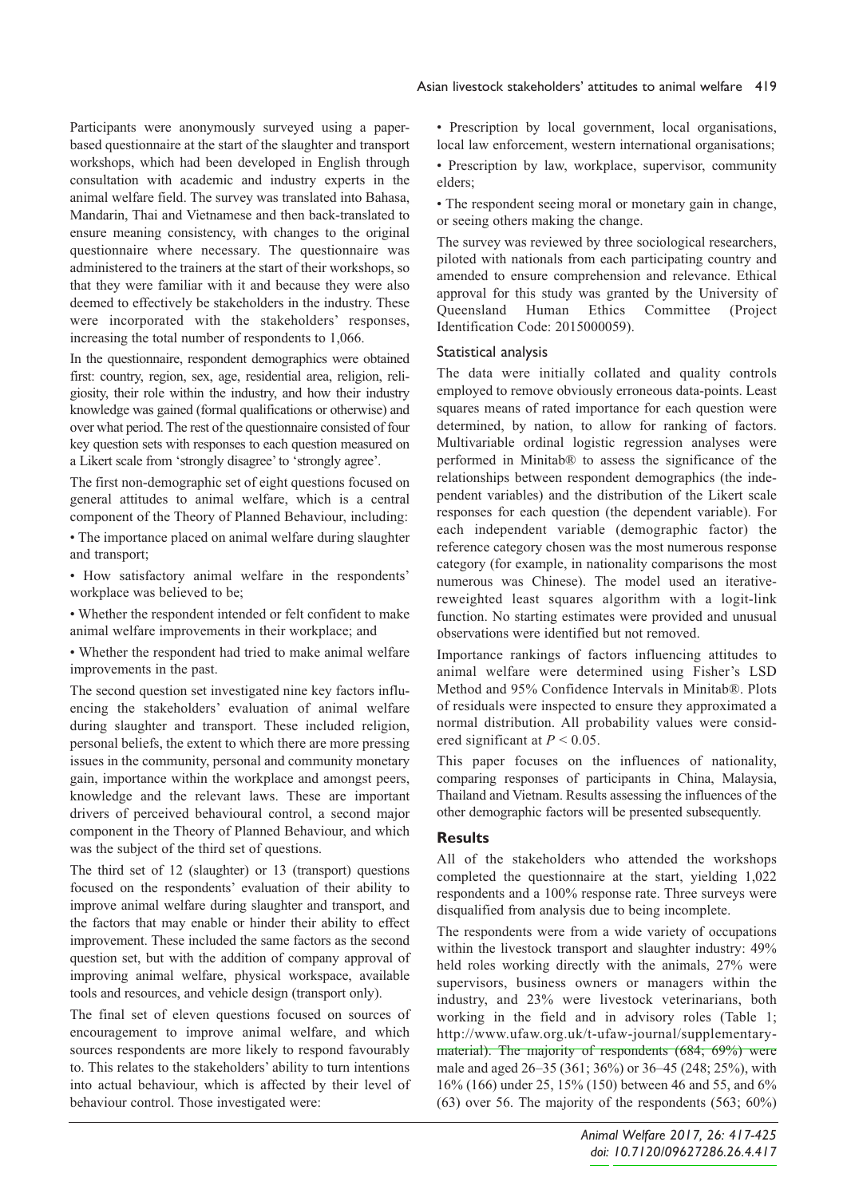Participants were anonymously surveyed using a paperbased questionnaire at the start of the slaughter and transport workshops, which had been developed in English through consultation with academic and industry experts in the animal welfare field. The survey was translated into Bahasa, Mandarin, Thai and Vietnamese and then back-translated to ensure meaning consistency, with changes to the original questionnaire where necessary. The questionnaire was administered to the trainers at the start of their workshops, so that they were familiar with it and because they were also deemed to effectively be stakeholders in the industry. These were incorporated with the stakeholders' responses, increasing the total number of respondents to 1,066.

In the questionnaire, respondent demographics were obtained first: country, region, sex, age, residential area, religion, religiosity, their role within the industry, and how their industry knowledge was gained (formal qualifications or otherwise) and over what period. The rest of the questionnaire consisted of four key question sets with responses to each question measured on a Likert scale from 'strongly disagree'to 'strongly agree'.

The first non-demographic set of eight questions focused on general attitudes to animal welfare, which is a central component of the Theory of Planned Behaviour, including:

• The importance placed on animal welfare during slaughter and transport;

• How satisfactory animal welfare in the respondents' workplace was believed to be;

• Whether the respondent intended or felt confident to make animal welfare improvements in their workplace; and

• Whether the respondent had tried to make animal welfare improvements in the past.

The second question set investigated nine key factors influencing the stakeholders' evaluation of animal welfare during slaughter and transport. These included religion, personal beliefs, the extent to which there are more pressing issues in the community, personal and community monetary gain, importance within the workplace and amongst peers, knowledge and the relevant laws. These are important drivers of perceived behavioural control, a second major component in the Theory of Planned Behaviour, and which was the subject of the third set of questions.

The third set of 12 (slaughter) or 13 (transport) questions focused on the respondents' evaluation of their ability to improve animal welfare during slaughter and transport, and the factors that may enable or hinder their ability to effect improvement. These included the same factors as the second question set, but with the addition of company approval of improving animal welfare, physical workspace, available tools and resources, and vehicle design (transport only).

The final set of eleven questions focused on sources of encouragement to improve animal welfare, and which sources respondents are more likely to respond favourably to. This relates to the stakeholders' ability to turn intentions into actual behaviour, which is affected by their level of behaviour control. Those investigated were:

• Prescription by local government, local organisations, local law enforcement, western international organisations;

• Prescription by law, workplace, supervisor, community elders;

• The respondent seeing moral or monetary gain in change, or seeing others making the change.

The survey was reviewed by three sociological researchers, piloted with nationals from each participating country and amended to ensure comprehension and relevance. Ethical approval for this study was granted by the University of Queensland Human Ethics Committee (Project Identification Code: 2015000059).

## Statistical analysis

The data were initially collated and quality controls employed to remove obviously erroneous data-points. Least squares means of rated importance for each question were determined, by nation, to allow for ranking of factors. Multivariable ordinal logistic regression analyses were performed in Minitab® to assess the significance of the relationships between respondent demographics (the independent variables) and the distribution of the Likert scale responses for each question (the dependent variable). For each independent variable (demographic factor) the reference category chosen was the most numerous response category (for example, in nationality comparisons the most numerous was Chinese). The model used an iterativereweighted least squares algorithm with a logit-link function. No starting estimates were provided and unusual observations were identified but not removed.

Importance rankings of factors influencing attitudes to animal welfare were determined using Fisher's LSD Method and 95% Confidence Intervals in Minitab®. Plots of residuals were inspected to ensure they approximated a normal distribution. All probability values were considered significant at *P* < 0.05.

This paper focuses on the influences of nationality, comparing responses of participants in China, Malaysia, Thailand and Vietnam. Results assessing the influences of the other demographic factors will be presented subsequently.

#### **Results**

All of the stakeholders who attended the workshops completed the questionnaire at the start, yielding 1,022 respondents and a 100% response rate. Three surveys were disqualified from analysis due to being incomplete.

The respondents were from a wide variety of occupations within the livestock transport and slaughter industry: 49% held roles working directly with the animals, 27% were supervisors, business owners or managers within the industry, and 23% were livestock veterinarians, both working in the field and in advisory roles (Table 1; [http://www.ufaw.org.uk/t-ufaw-journal/supplementary](http://www.ufaw.org.uk/t-ufaw-journal/supplementary-)material). The majority of respondents (684; 69%) were male and aged 26–35 (361; 36%) or 36–45 (248; 25%), with 16% (166) under 25, 15% (150) between 46 and 55, and 6% (63) over 56. The majority of the respondents (563; 60%)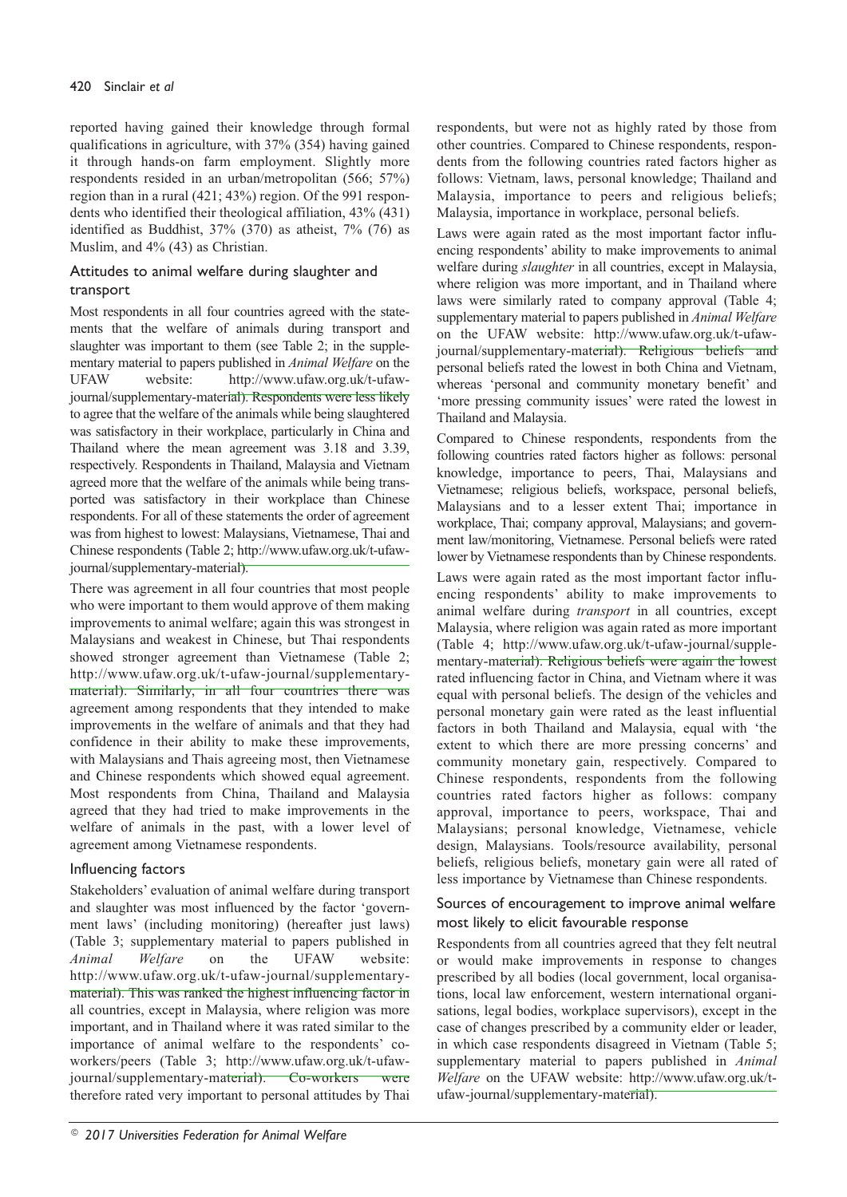reported having gained their knowledge through formal qualifications in agriculture, with 37% (354) having gained it through hands-on farm employment. Slightly more respondents resided in an urban/metropolitan (566; 57%) region than in a rural (421; 43%) region. Of the 991 respondents who identified their theological affiliation, 43% (431) identified as Buddhist, 37% (370) as atheist, 7% (76) as Muslim, and 4% (43) as Christian.

## Attitudes to animal welfare during slaughter and transport

Most respondents in all four countries agreed with the statements that the welfare of animals during transport and slaughter was important to them (see Table 2; in the supplementary material to papers published in *Animal Welfare* on the UFAW website: [http://www.ufaw.org.uk/t-ufaw](http://www.ufaw.org.uk/t-ufaw-)journal/supplementary-material). Respondents were less likely to agree that the welfare of the animals while being slaughtered was satisfactory in their workplace, particularly in China and Thailand where the mean agreement was 3.18 and 3.39, respectively. Respondents in Thailand, Malaysia and Vietnam agreed more that the welfare of the animals while being transported was satisfactory in their workplace than Chinese respondents. For all of these statements the order of agreement was from highest to lowest: Malaysians, Vietnamese, Thai and Chinese respondents (Table 2; [http://www.ufaw.org.uk/t-ufaw](http://www.ufaw.org.uk/t-ufaw-)journal/supplementary-material).

There was agreement in all four countries that most people who were important to them would approve of them making improvements to animal welfare; again this was strongest in Malaysians and weakest in Chinese, but Thai respondents showed stronger agreement than Vietnamese (Table 2; [http://www.ufaw.org.uk/t-ufaw-journal/supplementary](http://www.ufaw.org.uk/t-ufaw-journal/supplementary-)material). Similarly, in all four countries there was agreement among respondents that they intended to make improvements in the welfare of animals and that they had confidence in their ability to make these improvements, with Malaysians and Thais agreeing most, then Vietnamese and Chinese respondents which showed equal agreement. Most respondents from China, Thailand and Malaysia agreed that they had tried to make improvements in the welfare of animals in the past, with a lower level of agreement among Vietnamese respondents.

# Influencing factors

Stakeholders' evaluation of animal welfare during transport and slaughter was most influenced by the factor 'government laws' (including monitoring) (hereafter just laws) (Table 3; supplementary material to papers published in *Animal Welfare* on the UFAW website: [http://www.ufaw.org.uk/t-ufaw-journal/supplementary](http://www.ufaw.org.uk/t-ufaw-journal/supplementary-)material). This was ranked the highest influencing factor in all countries, except in Malaysia, where religion was more important, and in Thailand where it was rated similar to the importance of animal welfare to the respondents' coworkers/peers (Table 3; [http://www.ufaw.org.uk/t-ufaw](http://www.ufaw.org.uk/t-ufaw-)journal/supplementary-material). Co-workers were therefore rated very important to personal attitudes by Thai respondents, but were not as highly rated by those from other countries. Compared to Chinese respondents, respondents from the following countries rated factors higher as follows: Vietnam, laws, personal knowledge; Thailand and Malaysia, importance to peers and religious beliefs; Malaysia, importance in workplace, personal beliefs.

Laws were again rated as the most important factor influencing respondents' ability to make improvements to animal welfare during *slaughter* in all countries, except in Malaysia, where religion was more important, and in Thailand where laws were similarly rated to company approval (Table 4; supplementary material to papers published in *Animal Welfare* on the UFAW website: [http://www.ufaw.org.uk/t-ufaw](http://www.ufaw.org.uk/t-ufaw-)journal/supplementary-material). Religious beliefs and personal beliefs rated the lowest in both China and Vietnam, whereas 'personal and community monetary benefit' and 'more pressing community issues' were rated the lowest in Thailand and Malaysia.

Compared to Chinese respondents, respondents from the following countries rated factors higher as follows: personal knowledge, importance to peers, Thai, Malaysians and Vietnamese; religious beliefs, workspace, personal beliefs, Malaysians and to a lesser extent Thai; importance in workplace, Thai; company approval, Malaysians; and government law/monitoring, Vietnamese. Personal beliefs were rated lower by Vietnamese respondents than by Chinese respondents.

Laws were again rated as the most important factor influencing respondents' ability to make improvements to animal welfare during *transport* in all countries, except Malaysia, where religion was again rated as more important (Table 4; [http://www.ufaw.org.uk/t-ufaw-journal/supple](http://www.ufaw.org.uk/t-ufaw-journal/supple-)mentary-material). Religious beliefs were again the lowest rated influencing factor in China, and Vietnam where it was equal with personal beliefs. The design of the vehicles and personal monetary gain were rated as the least influential factors in both Thailand and Malaysia, equal with 'the extent to which there are more pressing concerns' and community monetary gain, respectively. Compared to Chinese respondents, respondents from the following countries rated factors higher as follows: company approval, importance to peers, workspace, Thai and Malaysians; personal knowledge, Vietnamese, vehicle design, Malaysians. Tools/resource availability, personal beliefs, religious beliefs, monetary gain were all rated of less importance by Vietnamese than Chinese respondents.

# Sources of encouragement to improve animal welfare most likely to elicit favourable response

Respondents from all countries agreed that they felt neutral or would make improvements in response to changes prescribed by all bodies (local government, local organisations, local law enforcement, western international organisations, legal bodies, workplace supervisors), except in the case of changes prescribed by a community elder or leader, in which case respondents disagreed in Vietnam (Table 5; supplementary material to papers published in *Animal Welfare* on the UFAW website: [http://www.ufaw.org.uk/t](http://www.ufaw.org.uk/t-)ufaw-journal/supplementary-material).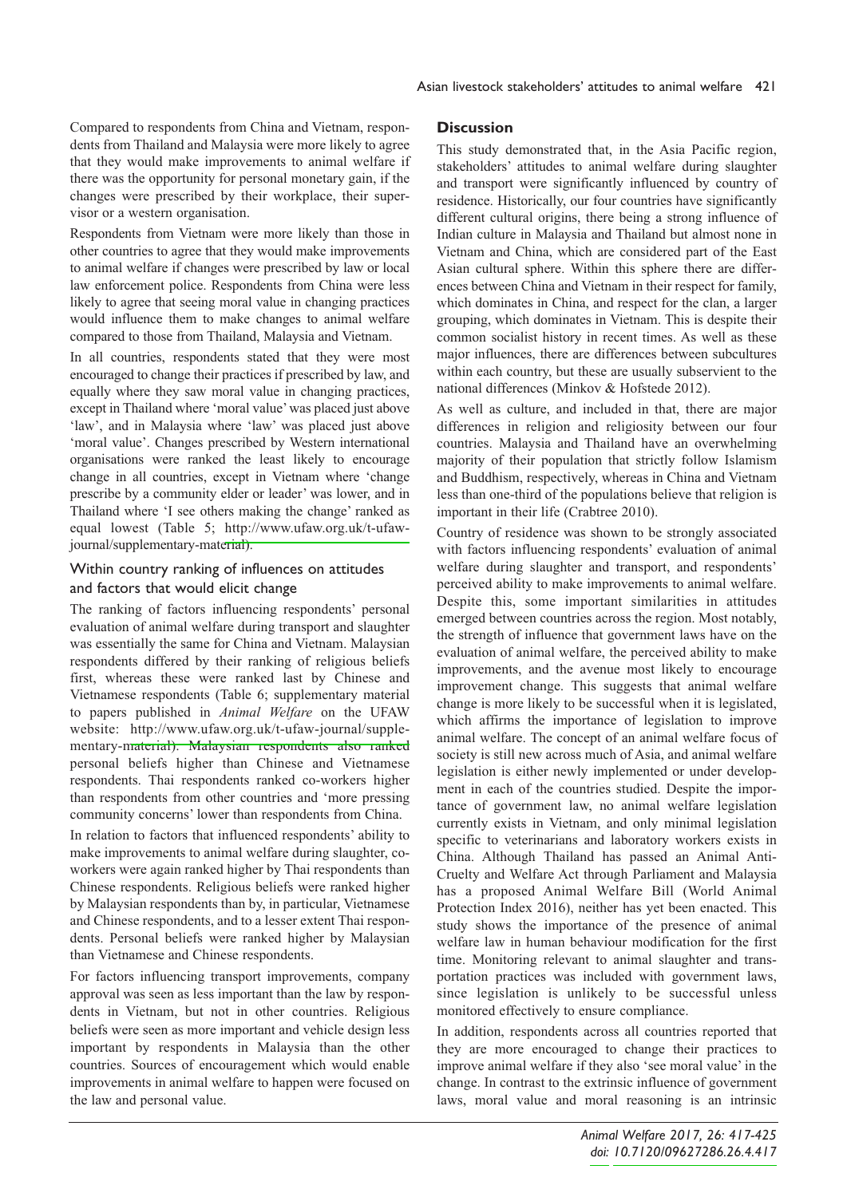Compared to respondents from China and Vietnam, respondents from Thailand and Malaysia were more likely to agree that they would make improvements to animal welfare if there was the opportunity for personal monetary gain, if the changes were prescribed by their workplace, their supervisor or a western organisation.

Respondents from Vietnam were more likely than those in other countries to agree that they would make improvements to animal welfare if changes were prescribed by law or local law enforcement police. Respondents from China were less likely to agree that seeing moral value in changing practices would influence them to make changes to animal welfare compared to those from Thailand, Malaysia and Vietnam.

In all countries, respondents stated that they were most encouraged to change their practices if prescribed by law, and equally where they saw moral value in changing practices, except in Thailand where 'moral value'was placed just above 'law', and in Malaysia where 'law' was placed just above 'moral value'. Changes prescribed by Western international organisations were ranked the least likely to encourage change in all countries, except in Vietnam where 'change prescribe by a community elder or leader' was lower, and in Thailand where 'I see others making the change' ranked as equal lowest (Table 5; [http://www.ufaw.org.uk/t-ufaw](http://www.ufaw.org.uk/t-ufaw-)journal/supplementary-material).

# Within country ranking of influences on attitudes and factors that would elicit change

The ranking of factors influencing respondents' personal evaluation of animal welfare during transport and slaughter was essentially the same for China and Vietnam. Malaysian respondents differed by their ranking of religious beliefs first, whereas these were ranked last by Chinese and Vietnamese respondents (Table 6; supplementary material to papers published in *Animal Welfare* on the UFAW website: [http://www.ufaw.org.uk/t-ufaw-journal/supple](http://www.ufaw.org.uk/t-ufaw-journal/supple-)mentary-material). Malaysian respondents also ranked personal beliefs higher than Chinese and Vietnamese respondents. Thai respondents ranked co-workers higher than respondents from other countries and 'more pressing community concerns' lower than respondents from China.

In relation to factors that influenced respondents' ability to make improvements to animal welfare during slaughter, coworkers were again ranked higher by Thai respondents than Chinese respondents. Religious beliefs were ranked higher by Malaysian respondents than by, in particular, Vietnamese and Chinese respondents, and to a lesser extent Thai respondents. Personal beliefs were ranked higher by Malaysian than Vietnamese and Chinese respondents.

For factors influencing transport improvements, company approval was seen as less important than the law by respondents in Vietnam, but not in other countries. Religious beliefs were seen as more important and vehicle design less important by respondents in Malaysia than the other countries. Sources of encouragement which would enable improvements in animal welfare to happen were focused on the law and personal value.

# **Discussion**

This study demonstrated that, in the Asia Pacific region, stakeholders' attitudes to animal welfare during slaughter and transport were significantly influenced by country of residence. Historically, our four countries have significantly different cultural origins, there being a strong influence of Indian culture in Malaysia and Thailand but almost none in Vietnam and China, which are considered part of the East Asian cultural sphere. Within this sphere there are differences between China and Vietnam in their respect for family, which dominates in China, and respect for the clan, a larger grouping, which dominates in Vietnam. This is despite their common socialist history in recent times. As well as these major influences, there are differences between subcultures within each country, but these are usually subservient to the national differences (Minkov & Hofstede 2012).

As well as culture, and included in that, there are major differences in religion and religiosity between our four countries. Malaysia and Thailand have an overwhelming majority of their population that strictly follow Islamism and Buddhism, respectively, whereas in China and Vietnam less than one-third of the populations believe that religion is important in their life (Crabtree 2010).

Country of residence was shown to be strongly associated with factors influencing respondents' evaluation of animal welfare during slaughter and transport, and respondents' perceived ability to make improvements to animal welfare. Despite this, some important similarities in attitudes emerged between countries across the region. Most notably, the strength of influence that government laws have on the evaluation of animal welfare, the perceived ability to make improvements, and the avenue most likely to encourage improvement change. This suggests that animal welfare change is more likely to be successful when it is legislated, which affirms the importance of legislation to improve animal welfare. The concept of an animal welfare focus of society is still new across much of Asia, and animal welfare legislation is either newly implemented or under development in each of the countries studied. Despite the importance of government law, no animal welfare legislation currently exists in Vietnam, and only minimal legislation specific to veterinarians and laboratory workers exists in China. Although Thailand has passed an Animal Anti-Cruelty and Welfare Act through Parliament and Malaysia has a proposed Animal Welfare Bill (World Animal Protection Index 2016), neither has yet been enacted. This study shows the importance of the presence of animal welfare law in human behaviour modification for the first time. Monitoring relevant to animal slaughter and transportation practices was included with government laws, since legislation is unlikely to be successful unless monitored effectively to ensure compliance.

In addition, respondents across all countries reported that they are more encouraged to change their practices to improve animal welfare if they also 'see moral value' in the change. In contrast to the extrinsic influence of government laws, moral value and moral reasoning is an intrinsic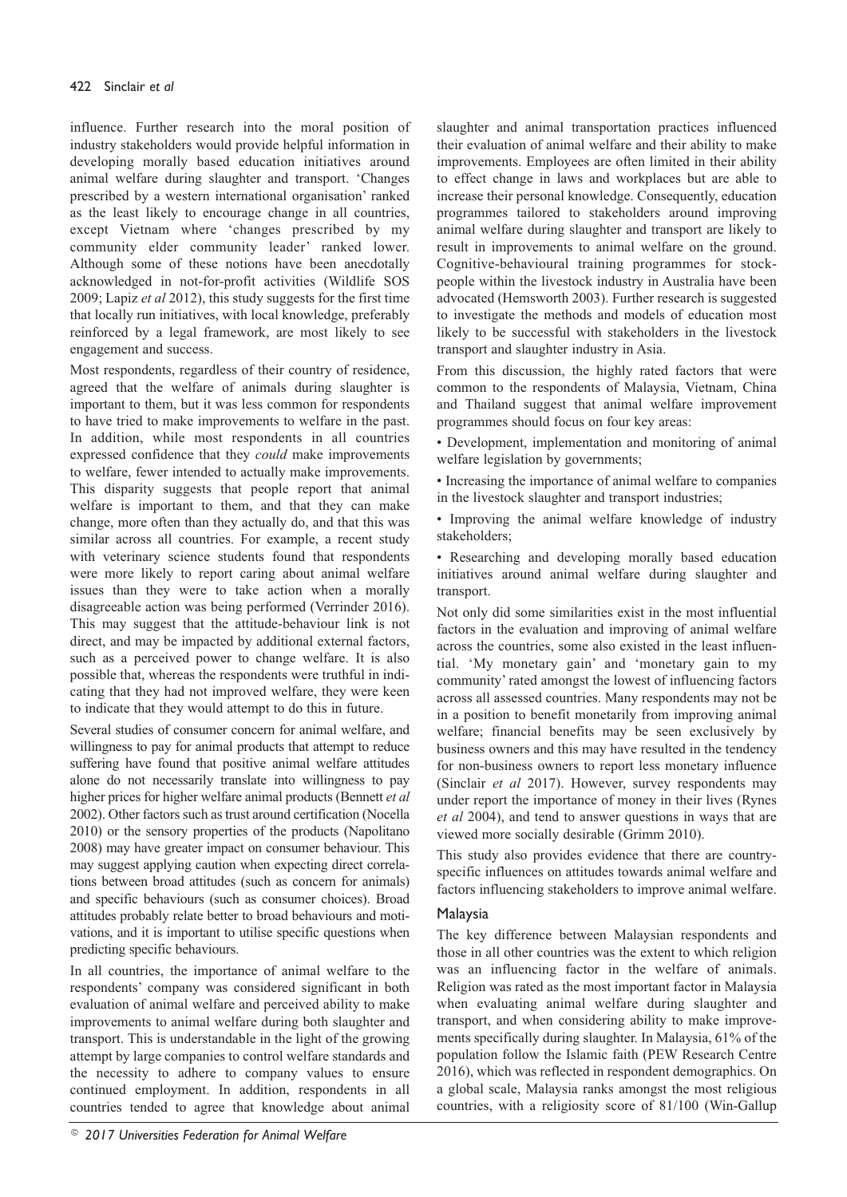influence. Further research into the moral position of industry stakeholders would provide helpful information in developing morally based education initiatives around animal welfare during slaughter and transport. 'Changes prescribed by a western international organisation' ranked as the least likely to encourage change in all countries, except Vietnam where 'changes prescribed by my community elder community leader' ranked lower. Although some of these notions have been anecdotally acknowledged in not-for-profit activities (Wildlife SOS 2009; Lapiz *et al* 2012), this study suggests for the first time that locally run initiatives, with local knowledge, preferably reinforced by a legal framework, are most likely to see engagement and success.

Most respondents, regardless of their country of residence, agreed that the welfare of animals during slaughter is important to them, but it was less common for respondents to have tried to make improvements to welfare in the past. In addition, while most respondents in all countries expressed confidence that they *could* make improvements to welfare, fewer intended to actually make improvements. This disparity suggests that people report that animal welfare is important to them, and that they can make change, more often than they actually do, and that this was similar across all countries. For example, a recent study with veterinary science students found that respondents were more likely to report caring about animal welfare issues than they were to take action when a morally disagreeable action was being performed (Verrinder 2016). This may suggest that the attitude-behaviour link is not direct, and may be impacted by additional external factors, such as a perceived power to change welfare. It is also possible that, whereas the respondents were truthful in indicating that they had not improved welfare, they were keen to indicate that they would attempt to do this in future.

Several studies of consumer concern for animal welfare, and willingness to pay for animal products that attempt to reduce suffering have found that positive animal welfare attitudes alone do not necessarily translate into willingness to pay higher prices for higher welfare animal products (Bennett *et al* 2002). Other factors such as trust around certification (Nocella 2010) or the sensory properties of the products (Napolitano 2008) may have greater impact on consumer behaviour. This may suggest applying caution when expecting direct correlations between broad attitudes (such as concern for animals) and specific behaviours (such as consumer choices). Broad attitudes probably relate better to broad behaviours and motivations, and it is important to utilise specific questions when predicting specific behaviours.

In all countries, the importance of animal welfare to the respondents' company was considered significant in both evaluation of animal welfare and perceived ability to make improvements to animal welfare during both slaughter and transport. This is understandable in the light of the growing attempt by large companies to control welfare standards and the necessity to adhere to company values to ensure continued employment. In addition, respondents in all countries tended to agree that knowledge about animal slaughter and animal transportation practices influenced their evaluation of animal welfare and their ability to make improvements. Employees are often limited in their ability to effect change in laws and workplaces but are able to increase their personal knowledge. Consequently, education programmes tailored to stakeholders around improving animal welfare during slaughter and transport are likely to result in improvements to animal welfare on the ground. Cognitive-behavioural training programmes for stockpeople within the livestock industry in Australia have been advocated (Hemsworth 2003). Further research is suggested to investigate the methods and models of education most likely to be successful with stakeholders in the livestock transport and slaughter industry in Asia.

From this discussion, the highly rated factors that were common to the respondents of Malaysia, Vietnam, China and Thailand suggest that animal welfare improvement programmes should focus on four key areas:

• Development, implementation and monitoring of animal welfare legislation by governments;

• Increasing the importance of animal welfare to companies in the livestock slaughter and transport industries;

• Improving the animal welfare knowledge of industry stakeholders;

• Researching and developing morally based education initiatives around animal welfare during slaughter and transport.

Not only did some similarities exist in the most influential factors in the evaluation and improving of animal welfare across the countries, some also existed in the least influential. 'My monetary gain' and 'monetary gain to my community' rated amongst the lowest of influencing factors across all assessed countries. Many respondents may not be in a position to benefit monetarily from improving animal welfare; financial benefits may be seen exclusively by business owners and this may have resulted in the tendency for non-business owners to report less monetary influence (Sinclair *et al* 2017). However, survey respondents may under report the importance of money in their lives (Rynes *et al* 2004), and tend to answer questions in ways that are viewed more socially desirable (Grimm 2010).

This study also provides evidence that there are countryspecific influences on attitudes towards animal welfare and factors influencing stakeholders to improve animal welfare.

# Malaysia

The key difference between Malaysian respondents and those in all other countries was the extent to which religion was an influencing factor in the welfare of animals. Religion was rated as the most important factor in Malaysia when evaluating animal welfare during slaughter and transport, and when considering ability to make improvements specifically during slaughter. In Malaysia, 61% of the population follow the Islamic faith (PEW Research Centre 2016), which was reflected in respondent demographics. On a global scale, Malaysia ranks amongst the most religious countries, with a religiosity score of 81/100 (Win-Gallup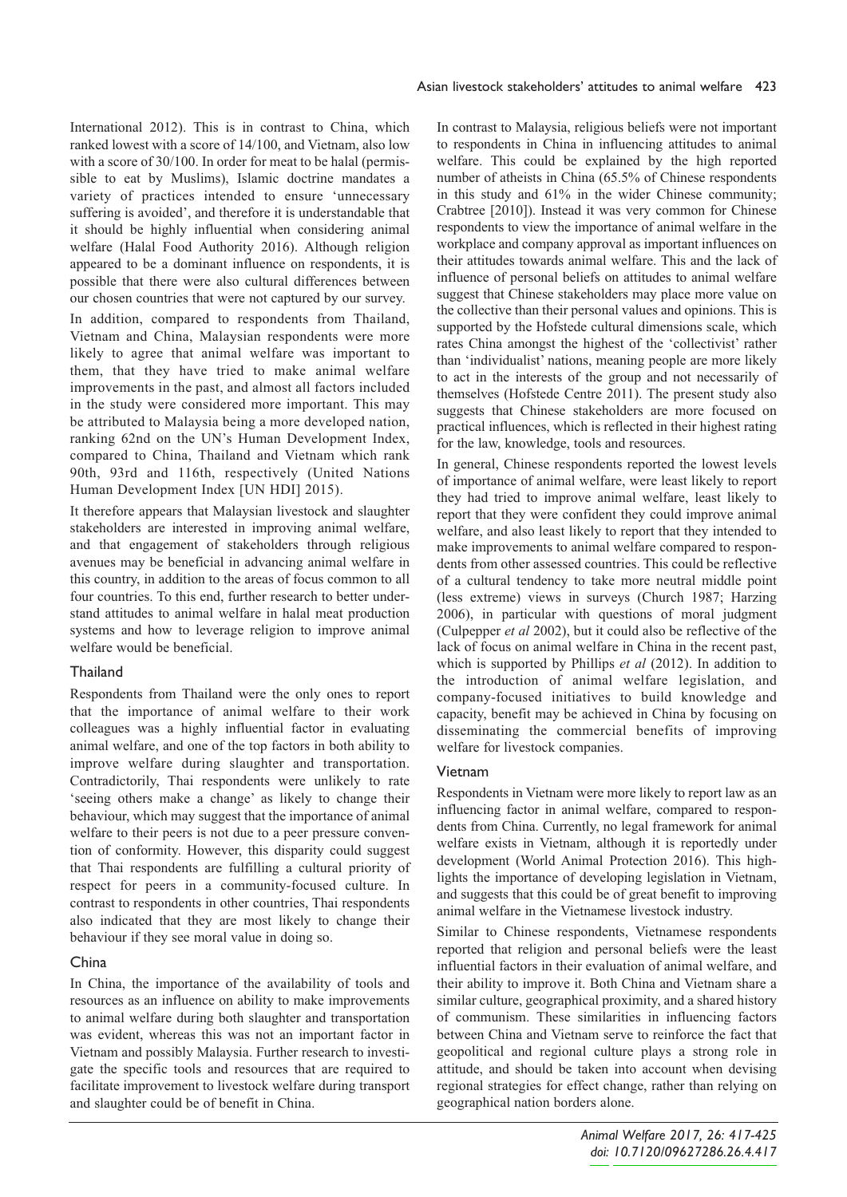International 2012). This is in contrast to China, which ranked lowest with a score of 14/100, and Vietnam, also low with a score of 30/100. In order for meat to be halal (permissible to eat by Muslims), Islamic doctrine mandates a variety of practices intended to ensure 'unnecessary suffering is avoided', and therefore it is understandable that it should be highly influential when considering animal welfare (Halal Food Authority 2016). Although religion appeared to be a dominant influence on respondents, it is possible that there were also cultural differences between our chosen countries that were not captured by our survey.

In addition, compared to respondents from Thailand, Vietnam and China, Malaysian respondents were more likely to agree that animal welfare was important to them, that they have tried to make animal welfare improvements in the past, and almost all factors included in the study were considered more important. This may be attributed to Malaysia being a more developed nation, ranking 62nd on the UN's Human Development Index, compared to China, Thailand and Vietnam which rank 90th, 93rd and 116th, respectively (United Nations Human Development Index [UN HDI] 2015).

It therefore appears that Malaysian livestock and slaughter stakeholders are interested in improving animal welfare, and that engagement of stakeholders through religious avenues may be beneficial in advancing animal welfare in this country, in addition to the areas of focus common to all four countries. To this end, further research to better understand attitudes to animal welfare in halal meat production systems and how to leverage religion to improve animal welfare would be beneficial.

## Thailand

Respondents from Thailand were the only ones to report that the importance of animal welfare to their work colleagues was a highly influential factor in evaluating animal welfare, and one of the top factors in both ability to improve welfare during slaughter and transportation. Contradictorily, Thai respondents were unlikely to rate 'seeing others make a change' as likely to change their behaviour, which may suggest that the importance of animal welfare to their peers is not due to a peer pressure convention of conformity. However, this disparity could suggest that Thai respondents are fulfilling a cultural priority of respect for peers in a community-focused culture. In contrast to respondents in other countries, Thai respondents also indicated that they are most likely to change their behaviour if they see moral value in doing so.

## China

In China, the importance of the availability of tools and resources as an influence on ability to make improvements to animal welfare during both slaughter and transportation was evident, whereas this was not an important factor in Vietnam and possibly Malaysia. Further research to investigate the specific tools and resources that are required to facilitate improvement to livestock welfare during transport and slaughter could be of benefit in China.

In contrast to Malaysia, religious beliefs were not important to respondents in China in influencing attitudes to animal welfare. This could be explained by the high reported number of atheists in China (65.5% of Chinese respondents in this study and 61% in the wider Chinese community; Crabtree [2010]). Instead it was very common for Chinese respondents to view the importance of animal welfare in the workplace and company approval as important influences on their attitudes towards animal welfare. This and the lack of influence of personal beliefs on attitudes to animal welfare suggest that Chinese stakeholders may place more value on the collective than their personal values and opinions. This is supported by the Hofstede cultural dimensions scale, which rates China amongst the highest of the 'collectivist' rather than 'individualist' nations, meaning people are more likely to act in the interests of the group and not necessarily of themselves (Hofstede Centre 2011). The present study also suggests that Chinese stakeholders are more focused on practical influences, which is reflected in their highest rating for the law, knowledge, tools and resources.

In general, Chinese respondents reported the lowest levels of importance of animal welfare, were least likely to report they had tried to improve animal welfare, least likely to report that they were confident they could improve animal welfare, and also least likely to report that they intended to make improvements to animal welfare compared to respondents from other assessed countries. This could be reflective of a cultural tendency to take more neutral middle point (less extreme) views in surveys (Church 1987; Harzing 2006), in particular with questions of moral judgment (Culpepper *et al* 2002), but it could also be reflective of the lack of focus on animal welfare in China in the recent past, which is supported by Phillips *et al* (2012). In addition to the introduction of animal welfare legislation, and company-focused initiatives to build knowledge and capacity, benefit may be achieved in China by focusing on disseminating the commercial benefits of improving welfare for livestock companies.

## Vietnam

Respondents in Vietnam were more likely to report law as an influencing factor in animal welfare, compared to respondents from China. Currently, no legal framework for animal welfare exists in Vietnam, although it is reportedly under development (World Animal Protection 2016). This highlights the importance of developing legislation in Vietnam, and suggests that this could be of great benefit to improving animal welfare in the Vietnamese livestock industry.

Similar to Chinese respondents, Vietnamese respondents reported that religion and personal beliefs were the least influential factors in their evaluation of animal welfare, and their ability to improve it. Both China and Vietnam share a similar culture, geographical proximity, and a shared history of communism. These similarities in influencing factors between China and Vietnam serve to reinforce the fact that geopolitical and regional culture plays a strong role in attitude, and should be taken into account when devising regional strategies for effect change, rather than relying on geographical nation borders alone.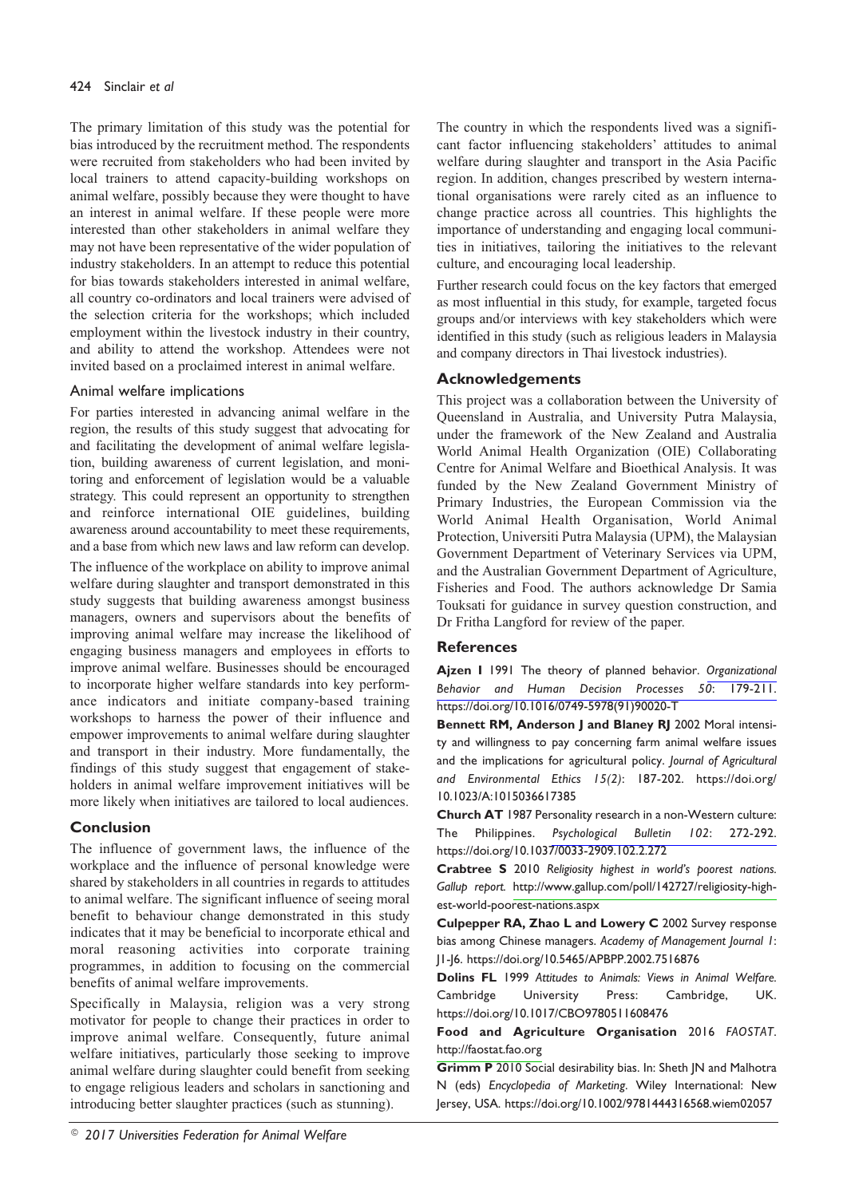The primary limitation of this study was the potential for bias introduced by the recruitment method. The respondents were recruited from stakeholders who had been invited by local trainers to attend capacity-building workshops on animal welfare, possibly because they were thought to have an interest in animal welfare. If these people were more interested than other stakeholders in animal welfare they may not have been representative of the wider population of industry stakeholders. In an attempt to reduce this potential for bias towards stakeholders interested in animal welfare, all country co-ordinators and local trainers were advised of the selection criteria for the workshops; which included employment within the livestock industry in their country, and ability to attend the workshop. Attendees were not invited based on a proclaimed interest in animal welfare.

## Animal welfare implications

For parties interested in advancing animal welfare in the region, the results of this study suggest that advocating for and facilitating the development of animal welfare legislation, building awareness of current legislation, and monitoring and enforcement of legislation would be a valuable strategy. This could represent an opportunity to strengthen and reinforce international OIE guidelines, building awareness around accountability to meet these requirements, and a base from which new laws and law reform can develop.

The influence of the workplace on ability to improve animal welfare during slaughter and transport demonstrated in this study suggests that building awareness amongst business managers, owners and supervisors about the benefits of improving animal welfare may increase the likelihood of engaging business managers and employees in efforts to improve animal welfare. Businesses should be encouraged to incorporate higher welfare standards into key performance indicators and initiate company-based training workshops to harness the power of their influence and empower improvements to animal welfare during slaughter and transport in their industry. More fundamentally, the findings of this study suggest that engagement of stakeholders in animal welfare improvement initiatives will be more likely when initiatives are tailored to local audiences.

# **Conclusion**

The influence of government laws, the influence of the workplace and the influence of personal knowledge were shared by stakeholders in all countries in regards to attitudes to animal welfare. The significant influence of seeing moral benefit to behaviour change demonstrated in this study indicates that it may be beneficial to incorporate ethical and moral reasoning activities into corporate training programmes, in addition to focusing on the commercial benefits of animal welfare improvements.

Specifically in Malaysia, religion was a very strong motivator for people to change their practices in order to improve animal welfare. Consequently, future animal welfare initiatives, particularly those seeking to improve animal welfare during slaughter could benefit from seeking to engage religious leaders and scholars in sanctioning and introducing better slaughter practices (such as stunning).

The country in which the respondents lived was a significant factor influencing stakeholders' attitudes to animal welfare during slaughter and transport in the Asia Pacific region. In addition, changes prescribed by western international organisations were rarely cited as an influence to change practice across all countries. This highlights the importance of understanding and engaging local communities in initiatives, tailoring the initiatives to the relevant culture, and encouraging local leadership.

Further research could focus on the key factors that emerged as most influential in this study, for example, targeted focus groups and/or interviews with key stakeholders which were identified in this study (such as religious leaders in Malaysia and company directors in Thai livestock industries).

# **Acknowledgements**

This project was a collaboration between the University of Queensland in Australia, and University Putra Malaysia, under the framework of the New Zealand and Australia World Animal Health Organization (OIE) Collaborating Centre for Animal Welfare and Bioethical Analysis. It was funded by the New Zealand Government Ministry of Primary Industries, the European Commission via the World Animal Health Organisation, World Animal Protection, Universiti Putra Malaysia (UPM), the Malaysian Government Department of Veterinary Services via UPM, and the Australian Government Department of Agriculture, Fisheries and Food. The authors acknowledge Dr Samia Touksati for guidance in survey question construction, and Dr Fritha Langford for review of the paper.

# **References**

**Ajzen I** 1991 The theory of planned behavior. *[Organizational](http://www.ingentaconnect.com/content/external-references?article=0749-5978()50L.179[aid=6457950]) Behavior and Human Decision Processes 50*: 179-211. https://doi.org/10.1016/0749-5978(91)90020-T

**Bennett RM, Anderson J and Blaney RJ** 2002 Moral intensity and willingness to pay concerning farm animal welfare issues and the implications for agricultural policy. *Journal of Agricultural and Environmental Ethics 15(2)*: 187-202. https://doi.org/ 10.1023/A:1015036617385

**Church AT** 1987 Personality research in a non-Western culture: The Philippines. *[Psychological](http://www.ingentaconnect.com/content/external-references?article=0033-2909()102L.272[aid=2750395]) Bulletin 102*: 272-292. https://doi.org/10.1037/0033-2909.102.2.272

**Crabtree S** 2010 *Religiosity highest in world's poorest nations. Gallup report.* [http://www.gallup.com/poll/142727/religiosity-high](http://www.gallup.com/poll/142727/religiosity-high-)est-world-poorest-nations.aspx

**Culpepper RA, Zhao L and Lowery C** 2002 Survey response bias among Chinese managers. *Academy of Management Journal 1*: J1-J6. https://doi.org/10.5465/APBPP.2002.7516876

**Dolins FL** 1999 *Attitudes to Animals: Views in Animal Welfare.* Cambridge University Press: Cambridge, UK. https://doi.org/10.1017/CBO9780511608476

**Food and Agriculture Organisation** 2016 *FAOSTAT*. <http://faostat.fao.org>

**Grimm P** 2010 Social desirability bias. In: Sheth JN and Malhotra N (eds) *Encyclopedia of Marketing*. Wiley International: New Jersey, USA. https://doi.org/10.1002/9781444316568.wiem02057